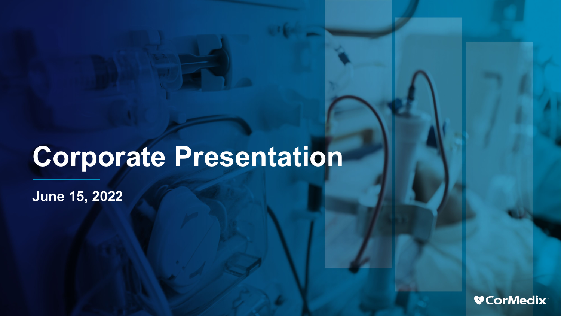# **Corporate Presentation**

**June 15, 2022**

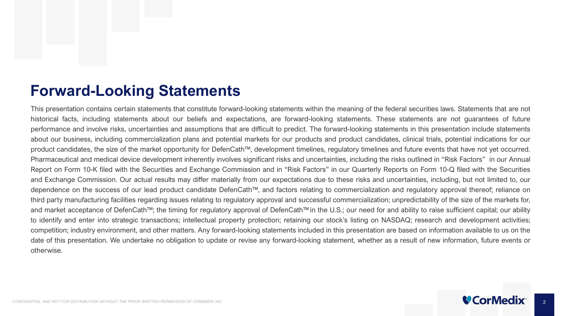## **Forward-Looking Statements**

This presentation contains certain statements that constitute forward-looking statements within the meaning of the federal securities laws. Statements that are not historical facts, including statements about our beliefs and expectations, are forward-looking statements. These statements are not guarantees of future performance and involve risks, uncertainties and assumptions that are difficult to predict. The forward-looking statements in this presentation include statements about our business, including commercialization plans and potential markets for our products and product candidates, clinical trials, potential indications for our product candidates, the size of the market opportunity for DefenCath™, development timelines, regulatory timelines and future events that have not yet occurred. Pharmaceutical and medical device development inherently involves significant risks and uncertainties, including the risks outlined in "Risk Factors" in our Annual Report on Form 10-K filed with the Securities and Exchange Commission and in "Risk Factors" in our Quarterly Reports on Form 10-Q filed with the Securities and Exchange Commission. Our actual results may differ materially from our expectations due to these risks and uncertainties, including, but not limited to, our dependence on the success of our lead product candidate DefenCath™, and factors relating to commercialization and regulatory approval thereof; reliance on third party manufacturing facilities regarding issues relating to regulatory approval and successful commercialization; unpredictability of the size of the markets for, and market acceptance of DefenCath™; the timing for regulatory approval of DefenCath™ in the U.S.; our need for and ability to raise sufficient capital; our ability to identify and enter into strategic transactions; intellectual property protection; retaining our stock's listing on NASDAQ; research and development activities; competition; industry environment, and other matters. Any forward-looking statements included in this presentation are based on information available to us on the date of this presentation. We undertake no obligation to update or revise any forward-looking statement, whether as a result of new information, future events or otherwise.

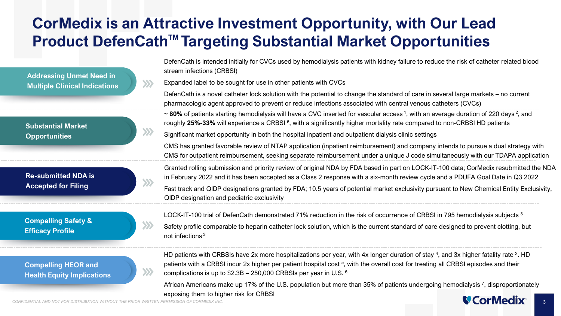## **CorMedix is an Attractive Investment Opportunity, with Our Lead Product DefenCath™ Targeting Substantial Market Opportunities**

**Addressing Unmet Need in Multiple Clinical Indications**

**Substantial Market Opportunities**

**Re-submitted NDA is Accepted for Filing**

**Compelling Safety & Efficacy Profile**

**Compelling HEOR and Health Equity Implications**

DefenCath is intended initially for CVCs used by hemodialysis patients with kidney failure to reduce the risk of catheter related blood stream infections (CRBSI)

Expanded label to be sought for use in other patients with CVCs  $\gg$ 

DefenCath is a novel catheter lock solution with the potential to change the standard of care in several large markets – no current pharmacologic agent approved to prevent or reduce infections associated with central venous catheters (CVCs)

~ 80% of patients starting hemodialysis will have a CVC inserted for vascular access<sup>1</sup>, with an average duration of 220 days<sup>2</sup>, and roughly **25%-33%** will experience a CRBSI 6, with a significantly higher mortality rate compared to non-CRBSI HD patients

Significant market opportunity in both the hospital inpatient and outpatient dialysis clinic settings

CMS has granted favorable review of NTAP application (inpatient reimbursement) and company intends to pursue a dual strategy with CMS for outpatient reimbursement, seeking separate reimbursement under a unique J code simultaneously with our TDAPA application

Granted rolling submission and priority review of original NDA by FDA based in part on LOCK-IT-100 data; CorMedix resubmitted the NDA in February 2022 and it has been accepted as a Class 2 response with a six-month review cycle and a PDUFA Goal Date in Q3 2022

Fast track and QIDP designations granted by FDA; 10.5 years of potential market exclusivity pursuant to New Chemical Entity Exclusivity, QIDP designation and pediatric exclusivity

LOCK-IT-100 trial of DefenCath demonstrated 71% reduction in the risk of occurrence of CRBSI in 795 hemodialysis subjects 3

Safety profile comparable to heparin catheter lock solution, which is the current standard of care designed to prevent clotting, but not infections <sup>3</sup>

HD patients with CRBSIs have 2x more hospitalizations per year, with 4x longer duration of stay 4, and 3x higher fatality rate <sup>2</sup>. HD patients with a CRBSI incur 2x higher per patient hospital cost <sup>5</sup>, with the overall cost for treating all CRBSI episodes and their complications is up to \$2.3B – 250,000 CRBSIs per year in U.S. 6

CONFIDENTIAL AND NOT FOR DISTRIBUTION WITHOUT THE PRIOR WRITTEN PERMISSION OF CORMEDIX INC. African Americans make up 17% of the U.S. population but more than 35% of patients undergoing hemodialysis <sup>7</sup>, disproportionately exposing them to higher risk for CRBSI

 $\gg$ 

 $\mathbf{y}$ 

 $\gg$ 

 $\gg$ 

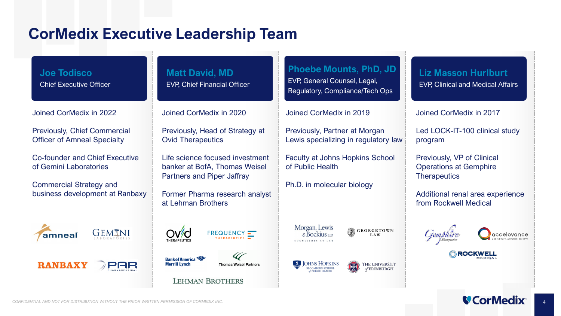## **CorMedix Executive Leadership Team**

**Joe Todisco** Chief Executive Officer

Joined CorMedix in 2022

Previously, Chief Commercial Officer of Amneal Specialty

Co-founder and Chief Executive of Gemini Laboratories

Commercial Strategy and business development at Ranbaxy





#### **Matt David, MD** EVP, Chief Financial Officer

Joined CorMedix in 2020

Previously, Head of Strategy at Ovid Therapeutics

Life science focused investment banker at BofA, Thomas Weisel Partners and Piper Jaffray

Former Pharma research analyst at Lehman Brothers



**LEHMAN BROTHERS** 

**Thomas Weisel Partners** 



Joined CorMedix in 2019

Previously, Partner at Morgan Lewis specializing in regulatory law

Faculty at Johns Hopkins School of Public Health

Ph.D. in molecular biology

Morgan, Lewis

COUNSELORS AT LAW

 $\epsilon$ Bockjus

#### **Liz Masson Hurlburt** EVP, Clinical and Medical Affairs

Joined CorMedix in 2017

Led LOCK-IT-100 clinical study program

Previously, VP of Clinical Operations at Gemphire **Therapeutics** 

Additional renal area experience from Rockwell Medical







THE UNIVERSITY  $of$ EDINBURGH

**GEORGETOWN** 

**LAW** 



**Merrill Lynch**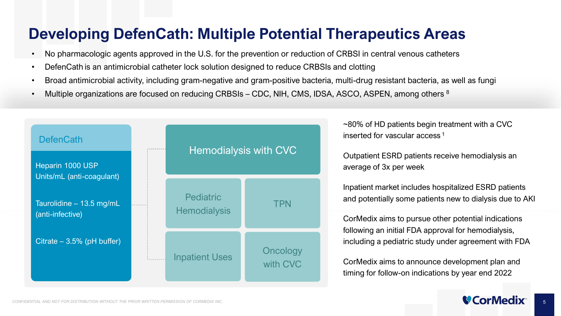## **Developing DefenCath: Multiple Potential Therapeutics Areas**

- No pharmacologic agents approved in the U.S. for the prevention or reduction of CRBSI in central venous catheters
- DefenCath is an antimicrobial catheter lock solution designed to reduce CRBSIs and clotting
- Broad antimicrobial activity, including gram-negative and gram-positive bacteria, multi-drug resistant bacteria, as well as fungi
- Multiple organizations are focused on reducing CRBSIs CDC, NIH, CMS, IDSA, ASCO, ASPEN, among others <sup>8</sup>



~80% of HD patients begin treatment with a CVC inserted for vascular access <sup>1</sup>

Outpatient ESRD patients receive hemodialysis an average of 3x per week

Inpatient market includes hospitalized ESRD patients and potentially some patients new to dialysis due to AKI

CorMedix aims to pursue other potential indications following an initial FDA approval for hemodialysis, including a pediatric study under agreement with FDA

CorMedix aims to announce development plan and timing for follow-on indications by year end 2022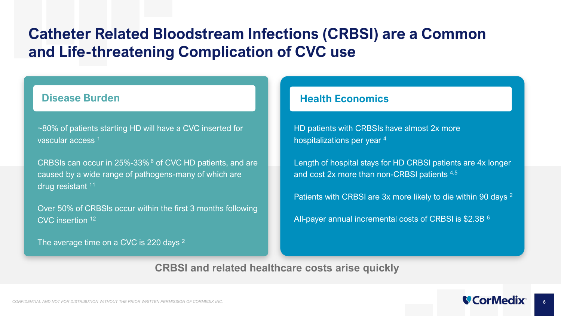## **Catheter Related Bloodstream Infections (CRBSI) are a Common and Life-threatening Complication of CVC use**

~80% of patients starting HD will have a CVC inserted for vascular access 1

CRBSIs can occur in 25%-33% <sup>6</sup> of CVC HD patients, and are caused by a wide range of pathogens-many of which are drug resistant 11

Over 50% of CRBSIs occur within the first 3 months following CVC insertion 12

The average time on a CVC is 220 days <sup>2</sup>

#### **Disease Burden Health Economics**

HD patients with CRBSIs have almost 2x more hospitalizations per year 4

Length of hospital stays for HD CRBSI patients are 4x longer and cost 2x more than non-CRBSI patients 4,5

Patients with CRBSI are 3x more likely to die within 90 days <sup>2</sup>

All-payer annual incremental costs of CRBSI is \$2.3B <sup>6</sup>

**CRBSI and related healthcare costs arise quickly**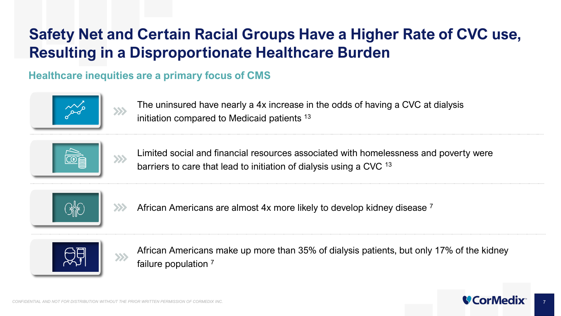## **Safety Net and Certain Racial Groups Have a Higher Rate of CVC use, Resulting in a Disproportionate Healthcare Burden**

## **Healthcare inequities are a primary focus of CMS**



The uninsured have nearly a 4x increase in the odds of having a CVC at dialysis initiation compared to Medicaid patients 13



Limited social and financial resources associated with homelessness and poverty were barriers to care that lead to initiation of dialysis using a CVC 13





African Americans are almost 4x more likely to develop kidney disease 7



African Americans make up more than 35% of dialysis patients, but only 17% of the kidney failure population 7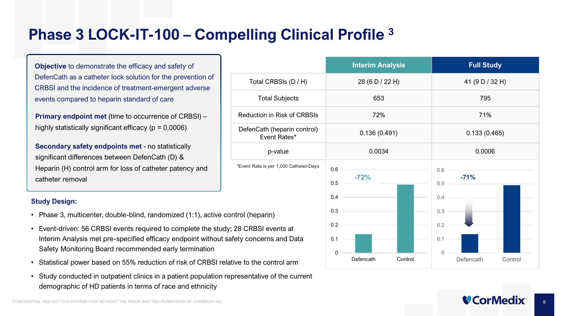## **Phase 3 LOCK-IT-100 – Compelling Clinical Profile 3**

 $*F$ vent

**Objective** to demonstrate the efficacy and safety of DefenCath as a catheter lock solution for the prevention of CRBSI and the incidence of treatment-emergent adverse events compared to heparin standard of care

**Primary endpoint met (time to occurrence of CRBSI) –** highly statistically significant efficacy ( $p = 0.0006$ )

**Secondary safety endpoints met** - no statistically significant differences between DefenCath (D) & Heparin (H) control arm for loss of catheter patency and catheter removal

#### **Study Design:**

- Phase 3, multicenter, double-blind, randomized (1:1), active control (h
- Event-driven: 56 CRBSI events required to complete the study; 28 CR Interim Analysis met pre-specified efficacy endpoint without safety co Safety Monitoring Board recommended early termination
- Statistical power based on 55% reduction of risk of CRBSI relative to the
- Study conducted in outpatient clinics in a patient population representative of the current demographic of HD patients in terms of race and ethnicity

|                                                            | <b>Interim Analysis</b>     | <b>Full Study</b>           |  |
|------------------------------------------------------------|-----------------------------|-----------------------------|--|
| Total CRBSIs (D / H)                                       | 28 (6 D / 22 H)             | 41 (9 D / 32 H)             |  |
| <b>Total Subjects</b>                                      | 653                         | 795                         |  |
| <b>Reduction in Risk of CRBSIs</b>                         | 72%                         | 71%                         |  |
| DefenCath (heparin control)<br>Event Rates*                | 0.136(0.491)                | 0.133(0.465)                |  |
| p-value                                                    | 0.0034                      | 0.0006                      |  |
| *Event Rate is per 1,000 Catheter-Days                     | 0.6<br>$-72%$<br>0.5<br>0.4 | 0.6<br>$-71%$<br>0.5<br>0.4 |  |
| rol (heparin)<br>8 CRBSI events at<br>ty concerns and Data | 0.3<br>0.2<br>0.1<br>0      | 0.3<br>0.2<br>0.1<br>0      |  |
| e to the control arm                                       | Defencath<br>Control        | Defencath<br>Control        |  |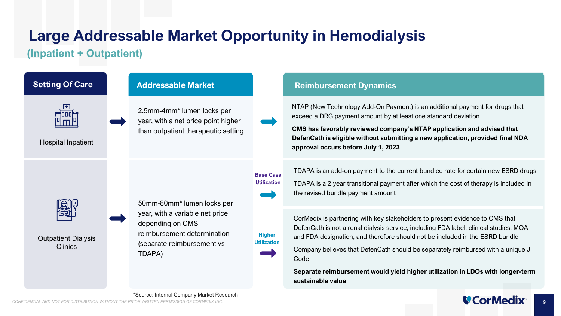## **Large Addressable Market Opportunity in Hemodialysis**

### **(Inpatient + Outpatient)**



NTAP (New Technology Add-On Payment) is an additional payment for drugs that exceed a DRG payment amount by at least one standard deviation

**CMS has favorably reviewed company's NTAP application and advised that DefenCath is eligible without submitting a new application, provided final NDA approval occurs before July 1, 2023**

TDAPA is an add-on payment to the current bundled rate for certain new ESRD drugs

TDAPA is a 2 year transitional payment after which the cost of therapy is included in the revised bundle payment amount

CorMedix is partnering with key stakeholders to present evidence to CMS that DefenCath is not a renal dialysis service, including FDA label, clinical studies, MOA and FDA designation, and therefore should not be included in the ESRD bundle

Company believes that DefenCath should be separately reimbursed with a unique J

**Separate reimbursement would yield higher utilization in LDOs with longer-term sustainable value**

9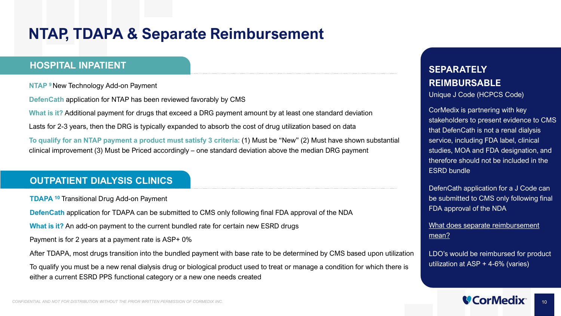## **NTAP, TDAPA & Separate Reimbursement**

#### **HOSPITAL INPATIENT**

**NTAP 9** New Technology Add-on Payment

**DefenCath** application for NTAP has been reviewed favorably by CMS

**What is it?** Additional payment for drugs that exceed a DRG payment amount by at least one standard deviation

Lasts for 2-3 years, then the DRG is typically expanded to absorb the cost of drug utilization based on data

**To qualify for an NTAP payment a product must satisfy 3 criteria:** (1) Must be "New" (2) Must have shown substantial clinical improvement (3) Must be Priced accordingly – one standard deviation above the median DRG payment

#### **OUTPATIENT DIALYSIS CLINICS**

**TDAPA 10** Transitional Drug Add-on Payment

**DefenCath** application for TDAPA can be submitted to CMS only following final FDA approval of the NDA

**What is it?** An add-on payment to the current bundled rate for certain new ESRD drugs

Payment is for 2 years at a payment rate is ASP+ 0%

After TDAPA, most drugs transition into the bundled payment with base rate to be determined by CMS based upon utilization

To qualify you must be a new renal dialysis drug or biological product used to treat or manage a condition for which there is either a current ESRD PPS functional category or a new one needs created

### **SEPARATELY REIMBURSABLE**

Unique J Code (HCPCS Code)

CorMedix is partnering with key stakeholders to present evidence to CMS that DefenCath is not a renal dialysis service, including FDA label, clinical studies, MOA and FDA designation, and therefore should not be included in the ESRD bundle

DefenCath application for a J Code can be submitted to CMS only following final FDA approval of the NDA

What does separate reimbursement mean?

LDO's would be reimbursed for product utilization at ASP + 4-6% (varies)

10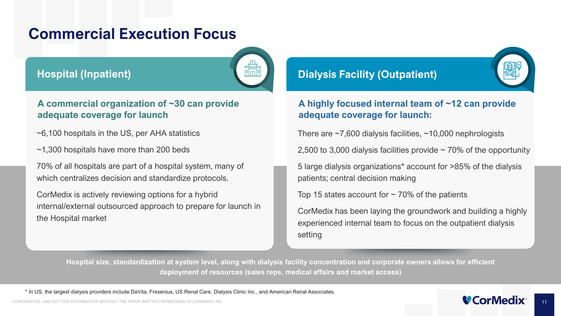## **Commercial Execution Focus**

#### **Hospital (Inpatient)**



#### **A commercial organization of ~30 can provide adequate coverage for launch**

- ~6,100 hospitals in the US, per AHA statistics
- ~1,300 hospitals have more than 200 beds

70% of all hospitals are part of a hospital system, many of which centralizes decision and standardize protocols.

CorMedix is actively reviewing options for a hybrid internal/external outsourced approach to prepare for launch in the Hospital market

#### **Dialysis Facility (Outpatient)**

#### **A highly focused internal team of ~12 can provide adequate coverage for launch:**

There are  $\sim$ 7,600 dialysis facilities,  $\sim$ 10,000 nephrologists

2,500 to 3,000 dialysis facilities provide  $\sim$  70% of the opportunity

5 large dialysis organizations\* account for >85% of the dialysis patients; central decision making

Top 15 states account for  $\sim$  70% of the patients

CorMedix has been laying the groundwork and building a highly experienced internal team to focus on the outpatient dialysis setting

**Hospital size, standardization at system level, along with dialysis facility concentration and corporate owners allows for efficient deployment of resources (sales reps, medical affairs and market access)**

\* In US, the largest dialysis providers include DaVita, Fresenius, US Renal Care, Dialysis Clinic Inc., and American Renal Associates.

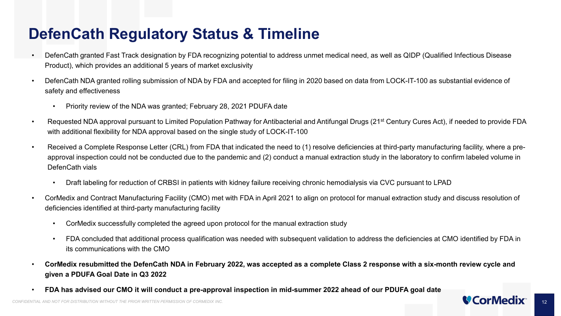## **DefenCath Regulatory Status & Timeline**

- DefenCath granted Fast Track designation by FDA recognizing potential to address unmet medical need, as well as QIDP (Qualified Infectious Disease Product), which provides an additional 5 years of market exclusivity
- DefenCath NDA granted rolling submission of NDA by FDA and accepted for filing in 2020 based on data from LOCK-IT-100 as substantial evidence of safety and effectiveness
	- Priority review of the NDA was granted; February 28, 2021 PDUFA date
- Requested NDA approval pursuant to Limited Population Pathway for Antibacterial and Antifungal Drugs (21<sup>st</sup> Century Cures Act), if needed to provide FDA with additional flexibility for NDA approval based on the single study of LOCK-IT-100
- Received a Complete Response Letter (CRL) from FDA that indicated the need to (1) resolve deficiencies at third-party manufacturing facility, where a preapproval inspection could not be conducted due to the pandemic and (2) conduct a manual extraction study in the laboratory to confirm labeled volume in DefenCath vials
	- Draft labeling for reduction of CRBSI in patients with kidney failure receiving chronic hemodialysis via CVC pursuant to LPAD
- CorMedix and Contract Manufacturing Facility (CMO) met with FDA in April 2021 to align on protocol for manual extraction study and discuss resolution of deficiencies identified at third-party manufacturing facility
	- CorMedix successfully completed the agreed upon protocol for the manual extraction study
	- FDA concluded that additional process qualification was needed with subsequent validation to address the deficiencies at CMO identified by FDA in its communications with the CMO
- **CorMedix resubmitted the DefenCath NDA in February 2022, was accepted as a complete Class 2 response with a six-month review cycle and given a PDUFA Goal Date in Q3 2022**
- **FDA has advised our CMO it will conduct a pre-approval inspection in mid-summer 2022 ahead of our PDUFA goal date**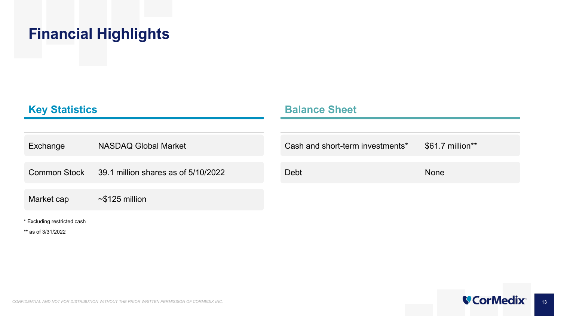## **Financial Highlights**

#### **Key Statistics**

#### **Balance Sheet**

| Exchange   | <b>NASDAQ Global Market</b>                      | Cash and short-term investments* | \$61.7 million** |
|------------|--------------------------------------------------|----------------------------------|------------------|
|            | Common Stock 39.1 million shares as of 5/10/2022 | Debt                             | <b>None</b>      |
| Market cap | $\sim$ \$125 million                             |                                  |                  |

\* Excluding restricted cash

\*\* as of 3/31/2022

13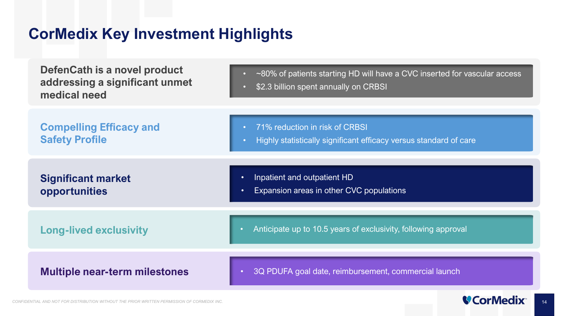## **CorMedix Key Investment Highlights**

| <b>DefenCath is a novel product</b><br>addressing a significant unmet<br>medical need | ~80% of patients starting HD will have a CVC inserted for vascular access<br>\$2.3 billion spent annually on CRBSI |
|---------------------------------------------------------------------------------------|--------------------------------------------------------------------------------------------------------------------|
| <b>Compelling Efficacy and</b><br><b>Safety Profile</b>                               | 71% reduction in risk of CRBSI<br>Highly statistically significant efficacy versus standard of care                |
| <b>Significant market</b><br>opportunities                                            | Inpatient and outpatient HD<br>$\bullet$<br>Expansion areas in other CVC populations<br>$\bullet$                  |
| <b>Long-lived exclusivity</b>                                                         | Anticipate up to 10.5 years of exclusivity, following approval                                                     |
| <b>Multiple near-term milestones</b>                                                  | 3Q PDUFA goal date, reimbursement, commercial launch<br>$\bullet$                                                  |